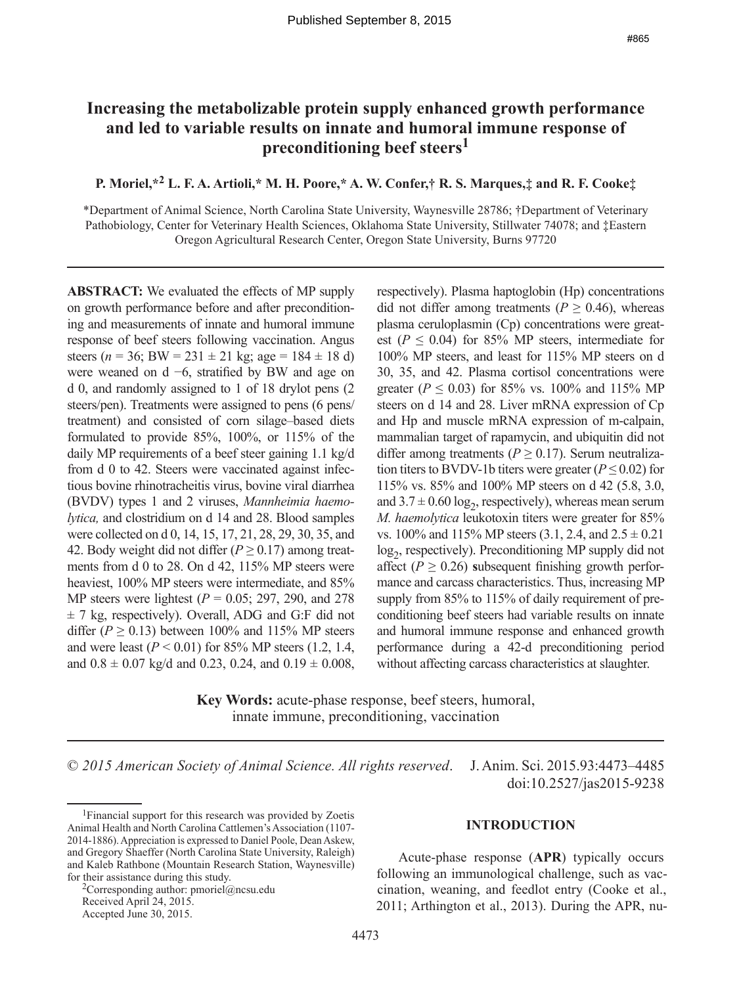# **Increasing the metabolizable protein supply enhanced growth performance and led to variable results on innate and humoral immune response of preconditioning beef steers1**

## **P. Moriel,\*2 L. F. A. Artioli,\* M. H. Poore,\* A. W. Confer,† R. S. Marques,‡ and R. F. Cooke‡**

\*Department of Animal Science, North Carolina State University, Waynesville 28786; †Department of Veterinary Pathobiology, Center for Veterinary Health Sciences, Oklahoma State University, Stillwater 74078; and ‡Eastern Oregon Agricultural Research Center, Oregon State University, Burns 97720

**ABSTRACT:** We evaluated the effects of MP supply on growth performance before and after preconditioning and measurements of innate and humoral immune response of beef steers following vaccination. Angus steers ( $n = 36$ ; BW = 231 ± 21 kg; age = 184 ± 18 d) were weaned on d −6, stratified by BW and age on d 0, and randomly assigned to 1 of 18 drylot pens (2 steers/pen). Treatments were assigned to pens (6 pens/ treatment) and consisted of corn silage–based diets formulated to provide 85%, 100%, or 115% of the daily MP requirements of a beef steer gaining 1.1 kg/d from d 0 to 42. Steers were vaccinated against infectious bovine rhinotracheitis virus, bovine viral diarrhea (BVDV) types 1 and 2 viruses, *Mannheimia haemolytica,* and clostridium on d 14 and 28. Blood samples were collected on d 0, 14, 15, 17, 21, 28, 29, 30, 35, and 42. Body weight did not differ ( $P \ge 0.17$ ) among treatments from d 0 to 28. On d 42, 115% MP steers were heaviest, 100% MP steers were intermediate, and 85% MP steers were lightest (*P* = 0.05; 297, 290, and 278  $\pm$  7 kg, respectively). Overall, ADG and G:F did not differ ( $P \ge 0.13$ ) between 100% and 115% MP steers and were least  $(P < 0.01)$  for 85% MP steers  $(1.2, 1.4, ...)$ and  $0.8 \pm 0.07$  kg/d and 0.23, 0.24, and  $0.19 \pm 0.008$ ,

respectively). Plasma haptoglobin (Hp) concentrations did not differ among treatments ( $P \ge 0.46$ ), whereas plasma ceruloplasmin (Cp) concentrations were greatest ( $P \leq 0.04$ ) for 85% MP steers, intermediate for 100% MP steers, and least for 115% MP steers on d 30, 35, and 42. Plasma cortisol concentrations were greater ( $P \le 0.03$ ) for 85% vs. 100% and 115% MP steers on d 14 and 28. Liver mRNA expression of Cp and Hp and muscle mRNA expression of m-calpain, mammalian target of rapamycin, and ubiquitin did not differ among treatments ( $P \ge 0.17$ ). Serum neutralization titers to BVDV-1b titers were greater ( $P \le 0.02$ ) for 115% vs. 85% and 100% MP steers on d 42 (5.8, 3.0, and  $3.7 \pm 0.60 \log_2$ , respectively), whereas mean serum *M. haemolytica* leukotoxin titers were greater for 85% vs. 100% and 115% MP steers  $(3.1, 2.4, \text{ and } 2.5 \pm 0.21)$ log<sub>2</sub>, respectively). Preconditioning MP supply did not affect ( $P \ge 0.26$ ) subsequent finishing growth performance and carcass characteristics. Thus, increasing MP supply from 85% to 115% of daily requirement of preconditioning beef steers had variable results on innate and humoral immune response and enhanced growth performance during a 42-d preconditioning period without affecting carcass characteristics at slaughter.

**Key Words:** acute-phase response, beef steers, humoral, innate immune, preconditioning, vaccination

© *2015 American Society of Animal Science. All rights reserved*. J. Anim. Sci. 2015.93:4473–4485 doi:10.2527/jas2015-9238

<sup>2</sup>Corresponding author: pmoriel@ncsu.edu Received April 24, 2015.

Accepted June 30, 2015.

#### **INTRODUCTION**

Acute-phase response (**APR**) typically occurs following an immunological challenge, such as vaccination, weaning, and feedlot entry (Cooke et al., 2011; Arthington et al., 2013). During the APR, nu-

<sup>1</sup>Financial support for this research was provided by Zoetis Animal Health and North Carolina Cattlemen's Association (1107- 2014-1886). Appreciation is expressed to Daniel Poole, Dean Askew, and Gregory Shaeffer (North Carolina State University, Raleigh) and Kaleb Rathbone (Mountain Research Station, Waynesville) for their assistance during this study.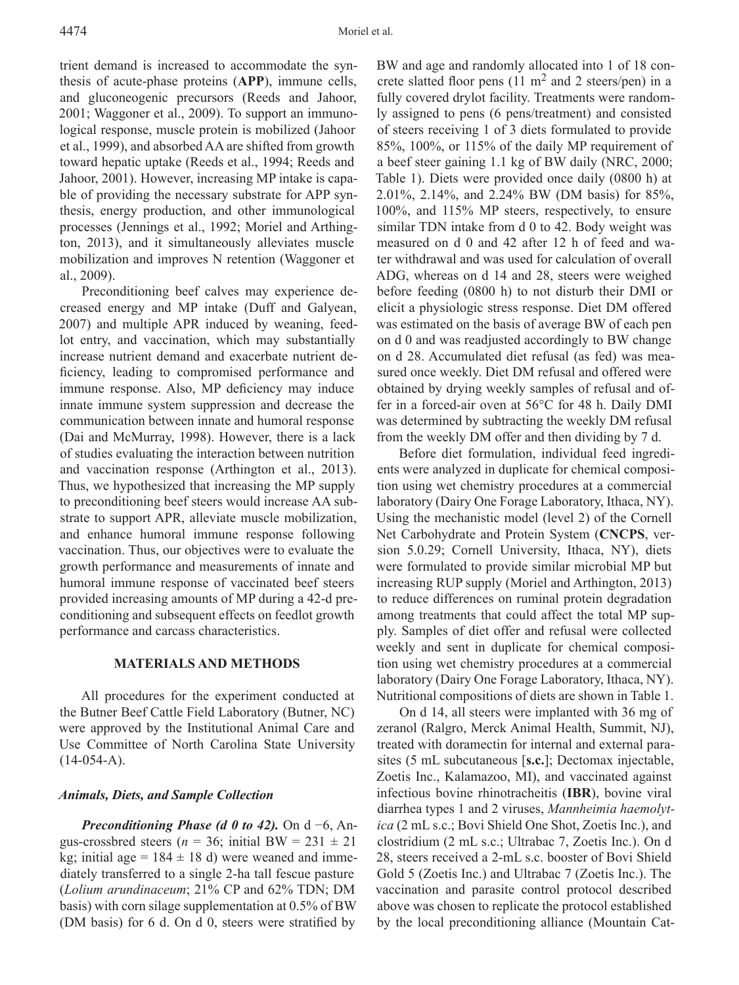trient demand is increased to accommodate the synthesis of acute-phase proteins (**APP**), immune cells, and gluconeogenic precursors (Reeds and Jahoor, 2001; Waggoner et al., 2009). To support an immunological response, muscle protein is mobilized (Jahoor et al., 1999), and absorbed AA are shifted from growth toward hepatic uptake (Reeds et al., 1994; Reeds and Jahoor, 2001). However, increasing MP intake is capable of providing the necessary substrate for APP synthesis, energy production, and other immunological processes (Jennings et al., 1992; Moriel and Arthington, 2013), and it simultaneously alleviates muscle mobilization and improves N retention (Waggoner et al., 2009).

Preconditioning beef calves may experience decreased energy and MP intake (Duff and Galyean, 2007) and multiple APR induced by weaning, feedlot entry, and vaccination, which may substantially increase nutrient demand and exacerbate nutrient deficiency, leading to compromised performance and immune response. Also, MP deficiency may induce innate immune system suppression and decrease the communication between innate and humoral response (Dai and McMurray, 1998). However, there is a lack of studies evaluating the interaction between nutrition and vaccination response (Arthington et al., 2013). Thus, we hypothesized that increasing the MP supply to preconditioning beef steers would increase AA substrate to support APR, alleviate muscle mobilization, and enhance humoral immune response following vaccination. Thus, our objectives were to evaluate the growth performance and measurements of innate and humoral immune response of vaccinated beef steers provided increasing amounts of MP during a 42-d preconditioning and subsequent effects on feedlot growth performance and carcass characteristics.

### **MATERIALS AND METHODS**

All procedures for the experiment conducted at the Butner Beef Cattle Field Laboratory (Butner, NC) were approved by the Institutional Animal Care and Use Committee of North Carolina State University  $(14-054-A)$ .

### *Animals, Diets, and Sample Collection*

*Preconditioning Phase (d 0 to 42).* On d −6, Angus-crossbred steers ( $n = 36$ ; initial BW = 231  $\pm$  21 kg; initial age =  $184 \pm 18$  d) were weaned and immediately transferred to a single 2-ha tall fescue pasture (*Lolium arundinaceum*; 21% CP and 62% TDN; DM basis) with corn silage supplementation at 0.5% of BW (DM basis) for 6 d. On d 0, steers were stratified by

BW and age and randomly allocated into 1 of 18 concrete slatted floor pens  $(11 \text{ m}^2 \text{ and } 2 \text{ steers/pen})$  in a fully covered drylot facility. Treatments were randomly assigned to pens (6 pens/treatment) and consisted of steers receiving 1 of 3 diets formulated to provide 85%, 100%, or 115% of the daily MP requirement of a beef steer gaining 1.1 kg of BW daily (NRC, 2000; Table 1). Diets were provided once daily (0800 h) at 2.01%, 2.14%, and 2.24% BW (DM basis) for 85%, 100%, and 115% MP steers, respectively, to ensure similar TDN intake from d 0 to 42. Body weight was measured on d 0 and 42 after 12 h of feed and water withdrawal and was used for calculation of overall ADG, whereas on d 14 and 28, steers were weighed before feeding (0800 h) to not disturb their DMI or elicit a physiologic stress response. Diet DM offered was estimated on the basis of average BW of each pen on d 0 and was readjusted accordingly to BW change on d 28. Accumulated diet refusal (as fed) was measured once weekly. Diet DM refusal and offered were obtained by drying weekly samples of refusal and offer in a forced-air oven at 56°C for 48 h. Daily DMI was determined by subtracting the weekly DM refusal from the weekly DM offer and then dividing by 7 d.

Before diet formulation, individual feed ingredients were analyzed in duplicate for chemical composition using wet chemistry procedures at a commercial laboratory (Dairy One Forage Laboratory, Ithaca, NY). Using the mechanistic model (level 2) of the Cornell Net Carbohydrate and Protein System (**CNCPS**, version 5.0.29; Cornell University, Ithaca, NY), diets were formulated to provide similar microbial MP but increasing RUP supply (Moriel and Arthington, 2013) to reduce differences on ruminal protein degradation among treatments that could affect the total MP supply. Samples of diet offer and refusal were collected weekly and sent in duplicate for chemical composition using wet chemistry procedures at a commercial laboratory (Dairy One Forage Laboratory, Ithaca, NY). Nutritional compositions of diets are shown in Table 1.

On d 14, all steers were implanted with 36 mg of zeranol (Ralgro, Merck Animal Health, Summit, NJ), treated with doramectin for internal and external parasites (5 mL subcutaneous [**s.c.**]; Dectomax injectable, Zoetis Inc., Kalamazoo, MI), and vaccinated against infectious bovine rhinotracheitis (**IBR**), bovine viral diarrhea types 1 and 2 viruses, *Mannheimia haemolytica* (2 mL s.c.; Bovi Shield One Shot, Zoetis Inc.), and clostridium (2 mL s.c.; Ultrabac 7, Zoetis Inc.). On d 28, steers received a 2-mL s.c. booster of Bovi Shield Gold 5 (Zoetis Inc.) and Ultrabac 7 (Zoetis Inc.). The vaccination and parasite control protocol described above was chosen to replicate the protocol established by the local preconditioning alliance (Mountain Cat-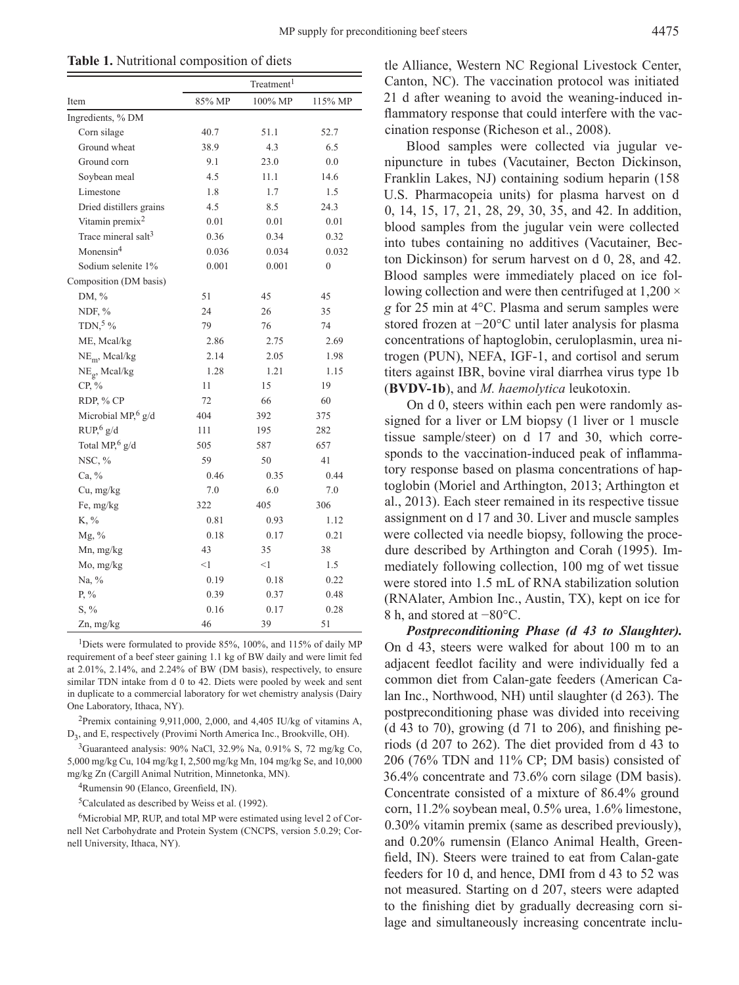**Table 1.** Nutritional composition of diets

|                                 | Treatment <sup>1</sup> |         |                  |  |  |
|---------------------------------|------------------------|---------|------------------|--|--|
| Item                            | 85% MP                 | 100% MP | 115% MP          |  |  |
| Ingredients, % DM               |                        |         |                  |  |  |
| Corn silage                     | 40.7                   | 51.1    | 52.7             |  |  |
| Ground wheat                    | 38.9                   | 4.3     | 6.5              |  |  |
| Ground corn                     | 9.1                    | 23.0    | 0.0              |  |  |
| Soybean meal                    | 4.5                    | 11.1    | 14.6             |  |  |
| Limestone                       | 1.8                    | 1.7     | 1.5              |  |  |
| Dried distillers grains         | 4.5                    | 8.5     | 24.3             |  |  |
| Vitamin premix <sup>2</sup>     | 0.01                   | 0.01    | 0.01             |  |  |
| Trace mineral salt <sup>3</sup> | 0.36                   | 0.34    | 0.32             |  |  |
| Monensin <sup>4</sup>           | 0.036                  | 0.034   | 0.032            |  |  |
| Sodium selenite 1%              | 0.001                  | 0.001   | $\boldsymbol{0}$ |  |  |
| Composition (DM basis)          |                        |         |                  |  |  |
| DM, %                           | 51                     | 45      | 45               |  |  |
| NDF, $%$                        | 24                     | 26      | 35               |  |  |
| TDN, $5\%$                      | 79                     | 76      | 74               |  |  |
| ME, Mcal/kg                     | 2.86                   | 2.75    | 2.69             |  |  |
| $NEm$ , Mcal/kg                 | 2.14                   | 2.05    | 1.98             |  |  |
| $NE_{g}$ , Mcal/kg              | 1.28                   | 1.21    | 1.15             |  |  |
| $CP, \%$                        | 11                     | 15      | 19               |  |  |
| RDP, % CP                       | 72                     | 66      | 60               |  |  |
| Microbial MP, $6 \text{ g/d}$   | 404                    | 392     | 375              |  |  |
| RUP, 6g/d                       | 111                    | 195     | 282              |  |  |
| Total MP, $6 \text{ g/d}$       | 505                    | 587     | 657              |  |  |
| NSC, $%$                        | 59                     | 50      | 41               |  |  |
| Ca, %                           | 0.46                   | 0.35    | 0.44             |  |  |
| Cu, mg/kg                       | 7.0                    | 6.0     | 7.0              |  |  |
| Fe, mg/kg                       | 322                    | 405     | 306              |  |  |
| K, %                            | 0.81                   | 0.93    | 1.12             |  |  |
| $Mg, \%$                        | 0.18                   | 0.17    | 0.21             |  |  |
| Mn, mg/kg                       | 43                     | 35      | 38               |  |  |
| Mo, mg/kg                       | <1                     | $<$ 1   | 1.5              |  |  |
| Na, %                           | 0.19                   | 0.18    | 0.22             |  |  |
| $P, \%$                         | 0.39                   | 0.37    | 0.48             |  |  |
| $S, \%$                         | 0.16                   | 0.17    | 0.28             |  |  |
| Zn, mg/kg                       | 46                     | 39      | 51               |  |  |

<sup>1</sup>Diets were formulated to provide 85%, 100%, and 115% of daily MP requirement of a beef steer gaining 1.1 kg of BW daily and were limit fed at 2.01%, 2.14%, and 2.24% of BW (DM basis), respectively, to ensure similar TDN intake from d 0 to 42. Diets were pooled by week and sent in duplicate to a commercial laboratory for wet chemistry analysis (Dairy One Laboratory, Ithaca, NY).

<sup>2</sup>Premix containing 9,911,000, 2,000, and 4,405 IU/kg of vitamins A, D3, and E, respectively (Provimi North America Inc., Brookville, OH).

 $3$ Guaranteed analysis: 90% NaCl, 32.9% Na, 0.91% S, 72 mg/kg Co, 5,000 mg/kg Cu, 104 mg/kg I, 2,500 mg/kg Mn, 104 mg/kg Se, and 10,000 mg/kg Zn (Cargill Animal Nutrition, Minnetonka, MN).

<sup>4</sup>Rumensin 90 (Elanco, Greenfield, IN).

5Calculated as described by Weiss et al. (1992).

6Microbial MP, RUP, and total MP were estimated using level 2 of Cornell Net Carbohydrate and Protein System (CNCPS, version 5.0.29; Cornell University, Ithaca, NY).

tle Alliance, Western NC Regional Livestock Center, Canton, NC). The vaccination protocol was initiated 21 d after weaning to avoid the weaning-induced inflammatory response that could interfere with the vaccination response (Richeson et al., 2008).

Blood samples were collected via jugular venipuncture in tubes (Vacutainer, Becton Dickinson, Franklin Lakes, NJ) containing sodium heparin (158 U.S. Pharmacopeia units) for plasma harvest on d 0, 14, 15, 17, 21, 28, 29, 30, 35, and 42. In addition, blood samples from the jugular vein were collected into tubes containing no additives (Vacutainer, Becton Dickinson) for serum harvest on d 0, 28, and 42. Blood samples were immediately placed on ice following collection and were then centrifuged at 1,200  $\times$ *g* for 25 min at 4°C. Plasma and serum samples were stored frozen at −20°C until later analysis for plasma concentrations of haptoglobin, ceruloplasmin, urea nitrogen (PUN), NEFA, IGF-1, and cortisol and serum titers against IBR, bovine viral diarrhea virus type 1b (**BVDV-1b**), and *M. haemolytica* leukotoxin.

On d 0, steers within each pen were randomly assigned for a liver or LM biopsy (1 liver or 1 muscle tissue sample/steer) on d 17 and 30, which corresponds to the vaccination-induced peak of inflammatory response based on plasma concentrations of haptoglobin (Moriel and Arthington, 2013; Arthington et al., 2013). Each steer remained in its respective tissue assignment on d 17 and 30. Liver and muscle samples were collected via needle biopsy, following the procedure described by Arthington and Corah (1995). Immediately following collection, 100 mg of wet tissue were stored into 1.5 mL of RNA stabilization solution (RNAlater, Ambion Inc., Austin, TX), kept on ice for 8 h, and stored at −80°C.

*Postpreconditioning Phase (d 43 to Slaughter).* On d 43, steers were walked for about 100 m to an adjacent feedlot facility and were individually fed a common diet from Calan-gate feeders (American Calan Inc., Northwood, NH) until slaughter (d 263). The postpreconditioning phase was divided into receiving  $(d 43$  to 70), growing  $(d 71$  to 206), and finishing periods (d 207 to 262). The diet provided from d 43 to 206 (76% TDN and 11% CP; DM basis) consisted of 36.4% concentrate and 73.6% corn silage (DM basis). Concentrate consisted of a mixture of 86.4% ground corn, 11.2% soybean meal, 0.5% urea, 1.6% limestone, 0.30% vitamin premix (same as described previously), and 0.20% rumensin (Elanco Animal Health, Greenfield, IN). Steers were trained to eat from Calan-gate feeders for 10 d, and hence, DMI from d 43 to 52 was not measured. Starting on d 207, steers were adapted to the finishing diet by gradually decreasing corn silage and simultaneously increasing concentrate inclu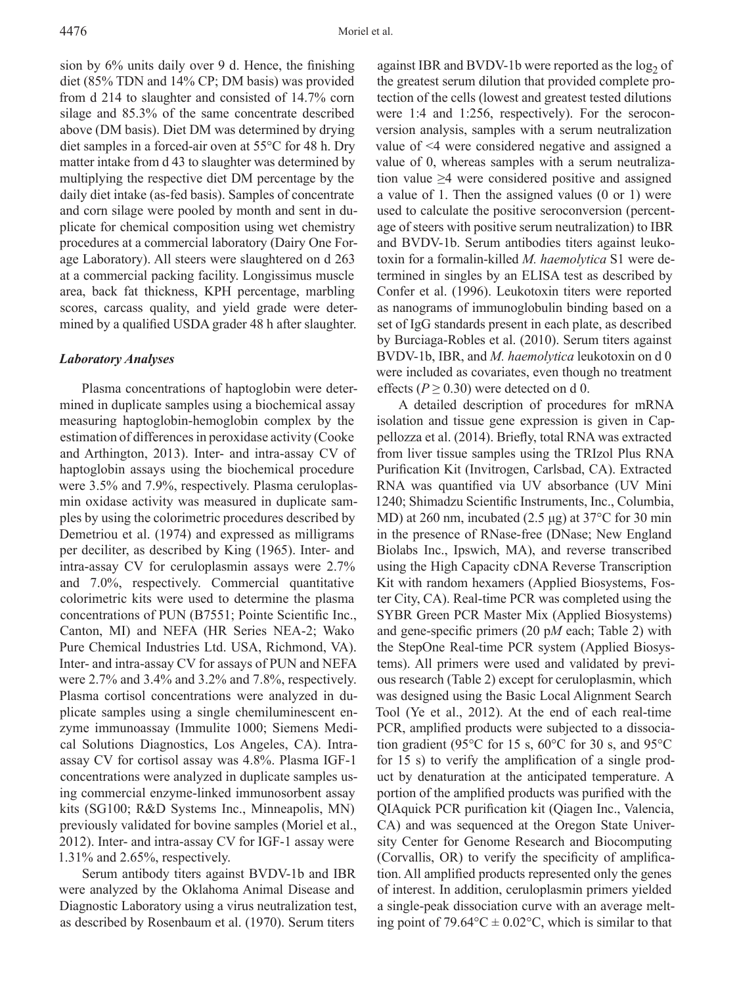sion by 6% units daily over 9 d. Hence, the finishing diet (85% TDN and 14% CP; DM basis) was provided from d 214 to slaughter and consisted of 14.7% corn silage and 85.3% of the same concentrate described above (DM basis). Diet DM was determined by drying diet samples in a forced-air oven at 55°C for 48 h. Dry matter intake from d 43 to slaughter was determined by multiplying the respective diet DM percentage by the daily diet intake (as-fed basis). Samples of concentrate and corn silage were pooled by month and sent in duplicate for chemical composition using wet chemistry procedures at a commercial laboratory (Dairy One Forage Laboratory). All steers were slaughtered on d 263 at a commercial packing facility. Longissimus muscle area, back fat thickness, KPH percentage, marbling scores, carcass quality, and yield grade were determined by a qualified USDA grader 48 h after slaughter.

### *Laboratory Analyses*

Plasma concentrations of haptoglobin were determined in duplicate samples using a biochemical assay measuring haptoglobin-hemoglobin complex by the estimation of differences in peroxidase activity (Cooke and Arthington, 2013). Inter- and intra-assay CV of haptoglobin assays using the biochemical procedure were 3.5% and 7.9%, respectively. Plasma ceruloplasmin oxidase activity was measured in duplicate samples by using the colorimetric procedures described by Demetriou et al. (1974) and expressed as milligrams per deciliter, as described by King (1965). Inter- and intra-assay CV for ceruloplasmin assays were 2.7% and 7.0%, respectively. Commercial quantitative colorimetric kits were used to determine the plasma concentrations of PUN (B7551; Pointe Scientific Inc., Canton, MI) and NEFA (HR Series NEA-2; Wako Pure Chemical Industries Ltd. USA, Richmond, VA). Inter- and intra-assay CV for assays of PUN and NEFA were 2.7% and 3.4% and 3.2% and 7.8%, respectively. Plasma cortisol concentrations were analyzed in duplicate samples using a single chemiluminescent enzyme immunoassay (Immulite 1000; Siemens Medical Solutions Diagnostics, Los Angeles, CA). Intraassay CV for cortisol assay was 4.8%. Plasma IGF-1 concentrations were analyzed in duplicate samples using commercial enzyme-linked immunosorbent assay kits (SG100; R&D Systems Inc., Minneapolis, MN) previously validated for bovine samples (Moriel et al., 2012). Inter- and intra-assay CV for IGF-1 assay were 1.31% and 2.65%, respectively.

Serum antibody titers against BVDV-1b and IBR were analyzed by the Oklahoma Animal Disease and Diagnostic Laboratory using a virus neutralization test, as described by Rosenbaum et al. (1970). Serum titers

against IBR and BVDV-1b were reported as the  $log<sub>2</sub>$  of the greatest serum dilution that provided complete protection of the cells (lowest and greatest tested dilutions were 1:4 and 1:256, respectively). For the seroconversion analysis, samples with a serum neutralization value of <4 were considered negative and assigned a value of 0, whereas samples with a serum neutralization value ≥4 were considered positive and assigned a value of 1. Then the assigned values (0 or 1) were used to calculate the positive seroconversion (percentage of steers with positive serum neutralization) to IBR and BVDV-1b. Serum antibodies titers against leukotoxin for a formalin-killed *M. haemolytica* S1 were determined in singles by an ELISA test as described by Confer et al. (1996). Leukotoxin titers were reported as nanograms of immunoglobulin binding based on a set of IgG standards present in each plate, as described by Burciaga-Robles et al. (2010). Serum titers against BVDV-1b, IBR, and *M. haemolytica* leukotoxin on d 0 were included as covariates, even though no treatment effects ( $P \ge 0.30$ ) were detected on d 0.

A detailed description of procedures for mRNA isolation and tissue gene expression is given in Cappellozza et al. (2014). Briefly, total RNA was extracted from liver tissue samples using the TRIzol Plus RNA Purification Kit (Invitrogen, Carlsbad, CA). Extracted RNA was quantified via UV absorbance (UV Mini 1240; Shimadzu Scientific Instruments, Inc., Columbia, MD) at 260 nm, incubated (2.5 μg) at 37°C for 30 min in the presence of RNase-free (DNase; New England Biolabs Inc., Ipswich, MA), and reverse transcribed using the High Capacity cDNA Reverse Transcription Kit with random hexamers (Applied Biosystems, Foster City, CA). Real-time PCR was completed using the SYBR Green PCR Master Mix (Applied Biosystems) and gene-specific primers (20 p*M* each; Table 2) with the StepOne Real-time PCR system (Applied Biosystems). All primers were used and validated by previous research (Table 2) except for ceruloplasmin, which was designed using the Basic Local Alignment Search Tool (Ye et al., 2012). At the end of each real-time PCR, amplified products were subjected to a dissociation gradient (95°C for 15 s, 60°C for 30 s, and 95°C for 15 s) to verify the amplification of a single product by denaturation at the anticipated temperature. A portion of the amplified products was purified with the QIAquick PCR purification kit (Qiagen Inc., Valencia, CA) and was sequenced at the Oregon State University Center for Genome Research and Biocomputing (Corvallis, OR) to verify the specificity of amplification. All amplified products represented only the genes of interest. In addition, ceruloplasmin primers yielded a single-peak dissociation curve with an average melting point of 79.64 $^{\circ}$ C  $\pm$  0.02 $^{\circ}$ C, which is similar to that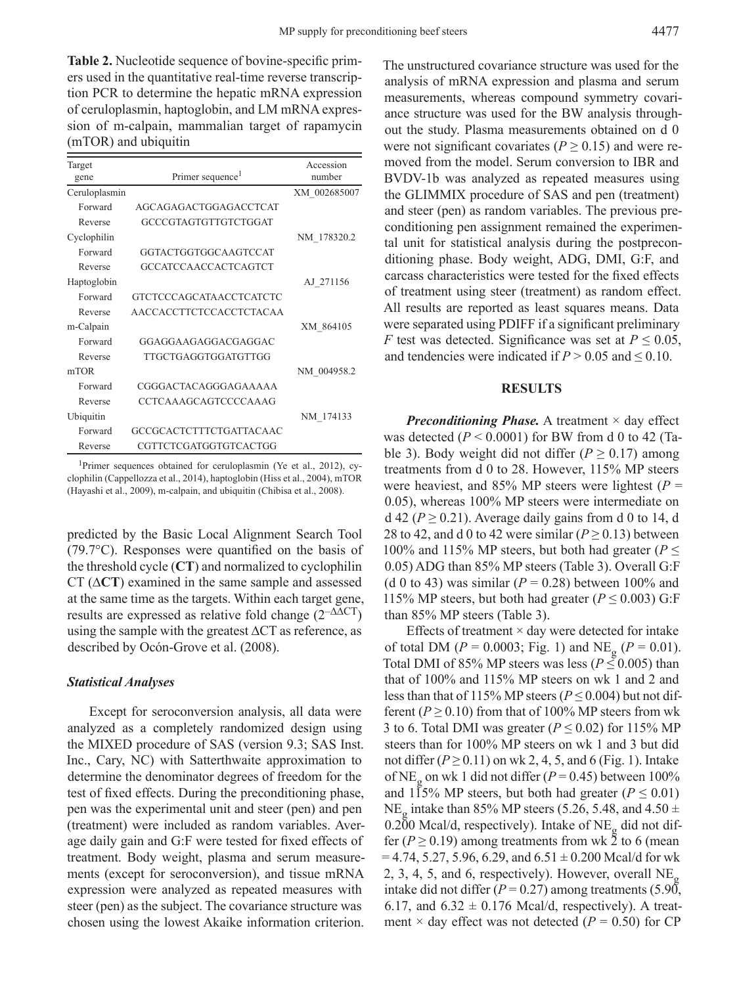**Table 2.** Nucleotide sequence of bovine-specific primers used in the quantitative real-time reverse transcription PCR to determine the hepatic mRNA expression of ceruloplasmin, haptoglobin, and LM mRNA expression of m-calpain, mammalian target of rapamycin (mTOR) and ubiquitin

| Target<br>gene | Primer sequence <sup>1</sup>   | Accession<br>number |
|----------------|--------------------------------|---------------------|
| Ceruloplasmin  |                                | XM 002685007        |
| Forward        | AGCAGAGACTGGAGACCTCAT          |                     |
| Reverse        | GCCCGTAGTGTTGTCTGGAT           |                     |
| Cyclophilin    |                                | NM 178320.2         |
| Forward        | GGTACTGGTGGCAAGTCCAT           |                     |
| Reverse        | <b>GCCATCCAACCACTCAGTCT</b>    |                     |
| Haptoglobin    |                                | AJ 271156           |
| Forward        | <b>GTCTCCCAGCATAACCTCATCTC</b> |                     |
| Reverse        | <b>AACCACCTTCTCCACCTCTACAA</b> |                     |
| m-Calpain      |                                | XM 864105           |
| Forward        | GGAGGAAGAGGACGAGGAC            |                     |
| Reverse        | TTGCTGAGGTGGATGTTGG            |                     |
| mTOR           |                                | NM 004958.2         |
| Forward        | CGGGACTACAGGGAGAAAAA           |                     |
| Reverse        | <b>CCTCAAAGCAGTCCCCCAAAG</b>   |                     |
| Ubiquitin      |                                | NM 174133           |
| Forward        | GCCGCACTCTTTCTGATTACAAC        |                     |
| Reverse        | CGTTCTCGATGGTGTCACTGG          |                     |

1Primer sequences obtained for ceruloplasmin (Ye et al., 2012), cyclophilin (Cappellozza et al., 2014), haptoglobin (Hiss et al., 2004), mTOR (Hayashi et al., 2009), m-calpain, and ubiquitin (Chibisa et al., 2008).

predicted by the Basic Local Alignment Search Tool (79.7°C). Responses were quantified on the basis of the threshold cycle (**CT**) and normalized to cyclophilin CT (∆**CT**) examined in the same sample and assessed at the same time as the targets. Within each target gene, results are expressed as relative fold change  $(2^{-\Delta\Delta CT})$ using the sample with the greatest ∆CT as reference, as described by Ocón-Grove et al. (2008).

#### *Statistical Analyses*

Except for seroconversion analysis, all data were analyzed as a completely randomized design using the MIXED procedure of SAS (version 9.3; SAS Inst. Inc., Cary, NC) with Satterthwaite approximation to determine the denominator degrees of freedom for the test of fixed effects. During the preconditioning phase, pen was the experimental unit and steer (pen) and pen (treatment) were included as random variables. Average daily gain and G:F were tested for fixed effects of treatment. Body weight, plasma and serum measurements (except for seroconversion), and tissue mRNA expression were analyzed as repeated measures with steer (pen) as the subject. The covariance structure was chosen using the lowest Akaike information criterion.

The unstructured covariance structure was used for the analysis of mRNA expression and plasma and serum measurements, whereas compound symmetry covariance structure was used for the BW analysis throughout the study. Plasma measurements obtained on d 0 were not significant covariates ( $P \ge 0.15$ ) and were removed from the model. Serum conversion to IBR and BVDV-1b was analyzed as repeated measures using the GLIMMIX procedure of SAS and pen (treatment) and steer (pen) as random variables. The previous preconditioning pen assignment remained the experimental unit for statistical analysis during the postpreconditioning phase. Body weight, ADG, DMI, G:F, and carcass characteristics were tested for the fixed effects of treatment using steer (treatment) as random effect. All results are reported as least squares means. Data were separated using PDIFF if a significant preliminary *F* test was detected. Significance was set at  $P \leq 0.05$ , and tendencies were indicated if  $P > 0.05$  and  $\leq 0.10$ .

### **RESULTS**

*Preconditioning Phase.* A treatment  $\times$  day effect was detected  $(P < 0.0001)$  for BW from d 0 to 42 (Table 3). Body weight did not differ ( $P \ge 0.17$ ) among treatments from d 0 to 28. However, 115% MP steers were heaviest, and 85% MP steers were lightest  $(P =$ 0.05), whereas 100% MP steers were intermediate on  $d$  42 ( $P \ge 0.21$ ). Average daily gains from d 0 to 14, d 28 to 42, and d 0 to 42 were similar ( $P \ge 0.13$ ) between 100% and 115% MP steers, but both had greater ( $P \leq$ 0.05) ADG than 85% MP steers (Table 3). Overall G:F (d 0 to 43) was similar ( $P = 0.28$ ) between 100% and 115% MP steers, but both had greater ( $P \le 0.003$ ) G:F than 85% MP steers (Table 3).

Effects of treatment  $\times$  day were detected for intake of total DM ( $P = 0.0003$ ; Fig. 1) and NE<sub>g</sub> ( $P = 0.01$ ). Total DMI of 85% MP steers was less ( $P \leq 0.005$ ) than that of 100% and 115% MP steers on wk 1 and 2 and less than that of 115% MP steers ( $P \le 0.004$ ) but not different ( $P \ge 0.10$ ) from that of 100% MP steers from wk 3 to 6. Total DMI was greater ( $P \le 0.02$ ) for 115% MP steers than for 100% MP steers on wk 1 and 3 but did not differ  $(P \ge 0.11)$  on wk 2, 4, 5, and 6 (Fig. 1). Intake of NE<sub>g</sub> on wk 1 did not differ ( $P = 0.45$ ) between 100% and 115% MP steers, but both had greater ( $P \le 0.01$ ) NE<sub>g</sub> intake than 85% MP steers (5.26, 5.48, and 4.50  $\pm$ 0.200 Mcal/d, respectively). Intake of  $NE_{\alpha}$  did not differ ( $P \ge 0.19$ ) among treatments from wk 2 to 6 (mean  $= 4.74, 5.27, 5.96, 6.29, and 6.51 \pm 0.200$  Mcal/d for wk 2, 3, 4, 5, and 6, respectively). However, overall  $NE_{\alpha}$ intake did not differ  $(P = 0.27)$  among treatments (5.90, 6.17, and  $6.32 \pm 0.176$  Mcal/d, respectively). A treatment  $\times$  day effect was not detected ( $P = 0.50$ ) for CP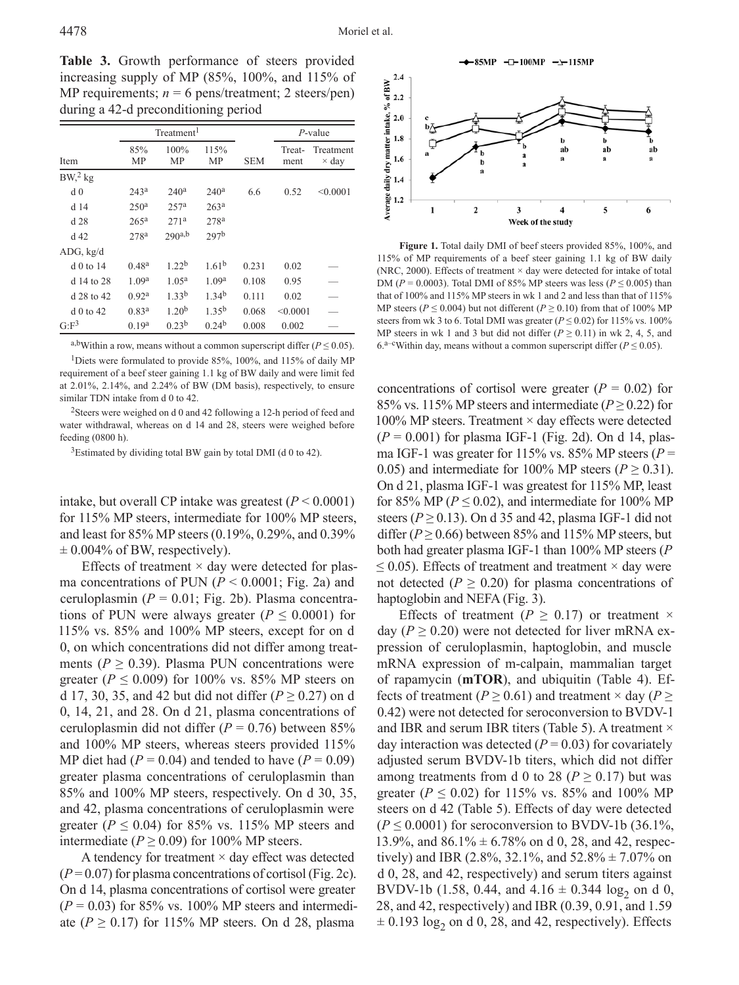$2.4$  $\sum_{\substack{6 \ 6 \ 8}}^{2.4}$ 

 $2.0$ 

**Table 3.** Growth performance of steers provided increasing supply of MP (85%, 100%, and 115% of MP requirements;  $n = 6$  pens/treatment; 2 steers/pen) during a 42-d preconditioning period

|                                 |                   | Treatment <sup>1</sup> |                   |            |                | $P$ -value                |  |
|---------------------------------|-------------------|------------------------|-------------------|------------|----------------|---------------------------|--|
| Item                            | 85%<br>MP         | 100%<br>MP             | 115%<br>MP        | <b>SEM</b> | Treat-<br>ment | Treatment<br>$\times$ day |  |
| BW <sub>2</sub> <sup>2</sup> kg |                   |                        |                   |            |                |                           |  |
| d <sub>0</sub>                  | 243 <sup>a</sup>  | 240 <sup>a</sup>       | 240 <sup>a</sup>  | 6.6        | 0.52           | < 0.0001                  |  |
| d 14                            | 250 <sup>a</sup>  | 257 <sup>a</sup>       | 263 <sup>a</sup>  |            |                |                           |  |
| d28                             | 265 <sup>a</sup>  | 271 <sup>a</sup>       | 278 <sup>a</sup>  |            |                |                           |  |
| d 42                            | 278 <sup>a</sup>  | 290a,b                 | 297 <sup>b</sup>  |            |                |                           |  |
| ADG, kg/d                       |                   |                        |                   |            |                |                           |  |
| $d$ 0 to 14                     | 0.48 <sup>a</sup> | 1.22 <sup>b</sup>      | $1.61^{b}$        | 0.231      | 0.02           |                           |  |
| d 14 to 28                      | 1.09 <sup>a</sup> | 1.05 <sup>a</sup>      | 1.09 <sup>a</sup> | 0.108      | 0.95           |                           |  |
| d 28 to 42                      | 0.92 <sup>a</sup> | 1.33 <sup>b</sup>      | 1.34 <sup>b</sup> | 0.111      | 0.02           |                           |  |
| $d$ 0 to 42                     | 0.83 <sup>a</sup> | 1.20 <sup>b</sup>      | 1.35 <sup>b</sup> | 0.068      | < 0.0001       |                           |  |
| $G:F^3$                         | 0.19 <sup>a</sup> | 0.23 <sup>b</sup>      | 0.24 <sup>b</sup> | 0.008      | 0.002          |                           |  |

a,bWithin a row, means without a common superscript differ ( $P \le 0.05$ ). <sup>1</sup>Diets were formulated to provide 85%, 100%, and 115% of daily MP requirement of a beef steer gaining 1.1 kg of BW daily and were limit fed

at 2.01%, 2.14%, and 2.24% of BW (DM basis), respectively, to ensure similar TDN intake from d 0 to 42.

<sup>2</sup>Steers were weighed on d 0 and 42 following a 12-h period of feed and water withdrawal, whereas on d 14 and 28, steers were weighed before feeding (0800 h).

 $3$ Estimated by dividing total BW gain by total DMI (d 0 to 42).

intake, but overall CP intake was greatest  $(P < 0.0001)$ for 115% MP steers, intermediate for 100% MP steers, and least for 85% MP steers (0.19%, 0.29%, and 0.39%  $\pm$  0.004% of BW, respectively).

Effects of treatment  $\times$  day were detected for plasma concentrations of PUN  $(P < 0.0001$ ; Fig. 2a) and ceruloplasmin  $(P = 0.01; Fig. 2b)$ . Plasma concentrations of PUN were always greater ( $P \leq 0.0001$ ) for 115% vs. 85% and 100% MP steers, except for on d 0, on which concentrations did not differ among treatments ( $P \ge 0.39$ ). Plasma PUN concentrations were greater ( $P \le 0.009$ ) for 100% vs. 85% MP steers on d 17, 30, 35, and 42 but did not differ ( $P \ge 0.27$ ) on d 0, 14, 21, and 28. On d 21, plasma concentrations of ceruloplasmin did not differ  $(P = 0.76)$  between 85% and 100% MP steers, whereas steers provided 115% MP diet had  $(P = 0.04)$  and tended to have  $(P = 0.09)$ greater plasma concentrations of ceruloplasmin than 85% and 100% MP steers, respectively. On d 30, 35, and 42, plasma concentrations of ceruloplasmin were greater ( $P \le 0.04$ ) for 85% vs. 115% MP steers and intermediate ( $P \ge 0.09$ ) for 100% MP steers.

A tendency for treatment  $\times$  day effect was detected  $(P=0.07)$  for plasma concentrations of cortisol (Fig. 2c). On d 14, plasma concentrations of cortisol were greater  $(P = 0.03)$  for 85% vs. 100% MP steers and intermediate ( $P \ge 0.17$ ) for 115% MP steers. On d 28, plasma



daily dry matter intake,  $1.8$ b b b ab ab ab  $1.6$  $1.4$  $\frac{8}{3}$  1.2  $\overline{2}$  $\overline{\mathbf{3}}$  $\overline{4}$ 5 6 Week of the study **Figure 1.** Total daily DMI of beef steers provided 85%, 100%, and 115% of MP requirements of a beef steer gaining 1.1 kg of BW daily (NRC, 2000). Effects of treatment  $\times$  day were detected for intake of total DM ( $P = 0.0003$ ). Total DMI of 85% MP steers was less ( $P \le 0.005$ ) than

that of 100% and 115% MP steers in wk 1 and 2 and less than that of 115% MP steers ( $P \le 0.004$ ) but not different ( $P \ge 0.10$ ) from that of 100% MP steers from wk 3 to 6. Total DMI was greater ( $P \le 0.02$ ) for 115% vs. 100% MP steers in wk 1 and 3 but did not differ ( $P \ge 0.11$ ) in wk 2, 4, 5, and 6.<sup>a–c</sup>Within day, means without a common superscript differ ( $P \le 0.05$ ).

concentrations of cortisol were greater  $(P = 0.02)$  for 85% vs. 115% MP steers and intermediate ( $P \ge 0.22$ ) for 100% MP steers. Treatment  $\times$  day effects were detected (*P* = 0.001) for plasma IGF-1 (Fig. 2d). On d 14, plasma IGF-1 was greater for 115% vs. 85% MP steers ( $P =$ 0.05) and intermediate for 100% MP steers ( $P \ge 0.31$ ). On d 21, plasma IGF-1 was greatest for 115% MP, least for 85% MP ( $P \le 0.02$ ), and intermediate for 100% MP steers ( $P \ge 0.13$ ). On d 35 and 42, plasma IGF-1 did not differ ( $P \ge 0.66$ ) between 85% and 115% MP steers, but both had greater plasma IGF-1 than 100% MP steers (*P*  $\leq$  0.05). Effects of treatment and treatment  $\times$  day were not detected ( $P \ge 0.20$ ) for plasma concentrations of haptoglobin and NEFA (Fig. 3).

Effects of treatment ( $P \ge 0.17$ ) or treatment  $\times$ day ( $P \ge 0.20$ ) were not detected for liver mRNA expression of ceruloplasmin, haptoglobin, and muscle mRNA expression of m-calpain, mammalian target of rapamycin (**mTOR**), and ubiquitin (Table 4). Effects of treatment ( $P \ge 0.61$ ) and treatment × day ( $P \ge$ 0.42) were not detected for seroconversion to BVDV-1 and IBR and serum IBR titers (Table 5). A treatment  $\times$ day interaction was detected  $(P = 0.03)$  for covariately adjusted serum BVDV-1b titers, which did not differ among treatments from d 0 to 28 ( $P \ge 0.17$ ) but was greater ( $P \le 0.02$ ) for 115% vs. 85% and 100% MP steers on d 42 (Table 5). Effects of day were detected  $(P \le 0.0001)$  for seroconversion to BVDV-1b (36.1%, 13.9%, and  $86.1\% \pm 6.78\%$  on d 0, 28, and 42, respectively) and IBR (2.8%, 32.1%, and  $52.8\% \pm 7.07\%$  on d 0, 28, and 42, respectively) and serum titers against BVDV-1b (1.58, 0.44, and  $4.16 \pm 0.344$  log<sub>2</sub> on d 0, 28, and 42, respectively) and IBR (0.39, 0.91, and 1.59  $\pm$  0.193 log<sub>2</sub> on d 0, 28, and 42, respectively). Effects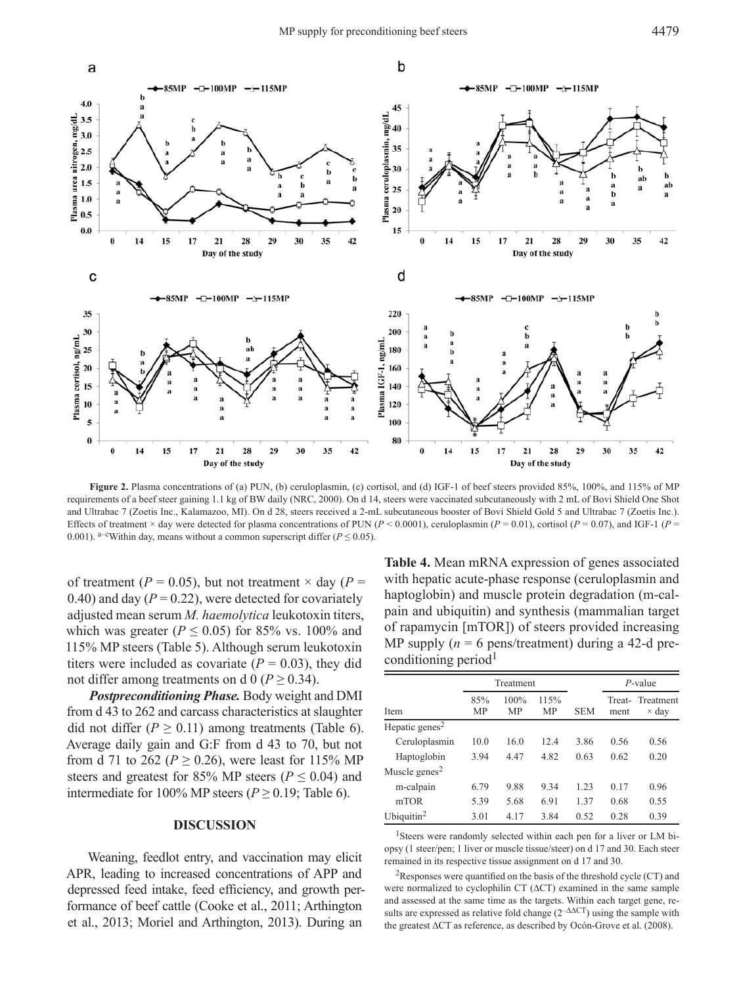

**Figure 2.** Plasma concentrations of (a) PUN, (b) ceruloplasmin, (c) cortisol, and (d) IGF-1 of beef steers provided 85%, 100%, and 115% of MP requirements of a beef steer gaining 1.1 kg of BW daily (NRC, 2000). On d 14, steers were vaccinated subcutaneously with 2 mL of Bovi Shield One Shot and Ultrabac 7 (Zoetis Inc., Kalamazoo, MI). On d 28, steers received a 2-mL subcutaneous booster of Bovi Shield Gold 5 and Ultrabac 7 (Zoetis Inc.). Effects of treatment × day were detected for plasma concentrations of PUN ( $P < 0.0001$ ), ceruloplasmin ( $P = 0.01$ ), cortisol ( $P = 0.07$ ), and IGF-1 ( $P =$ 0.001). <sup>a–c</sup>Within day, means without a common superscript differ ( $P \le 0.05$ ).

of treatment ( $P = 0.05$ ), but not treatment  $\times$  day ( $P =$ 0.40) and day  $(P = 0.22)$ , were detected for covariately adjusted mean serum *M. haemolytica* leukotoxin titers, which was greater ( $P \le 0.05$ ) for 85% vs. 100% and 115% MP steers (Table 5). Although serum leukotoxin titers were included as covariate  $(P = 0.03)$ , they did not differ among treatments on d  $0 (P \ge 0.34)$ .

*Postpreconditioning Phase.* Body weight and DMI from d 43 to 262 and carcass characteristics at slaughter did not differ ( $P \ge 0.11$ ) among treatments (Table 6). Average daily gain and G:F from d 43 to 70, but not from d 71 to 262 ( $P \ge 0.26$ ), were least for 115% MP steers and greatest for 85% MP steers ( $P \le 0.04$ ) and intermediate for 100% MP steers ( $P \ge 0.19$ ; Table 6).

### **DISCUSSION**

Weaning, feedlot entry, and vaccination may elicit APR, leading to increased concentrations of APP and depressed feed intake, feed efficiency, and growth performance of beef cattle (Cooke et al., 2011; Arthington et al., 2013; Moriel and Arthington, 2013). During an

**Table 4.** Mean mRNA expression of genes associated with hepatic acute-phase response (ceruloplasmin and haptoglobin) and muscle protein degradation (m-calpain and ubiquitin) and synthesis (mammalian target of rapamycin [mTOR]) of steers provided increasing MP supply  $(n = 6$  pens/treatment) during a 42-d preconditioning period $<sup>1</sup>$ </sup>

|                            | Treatment        |                   |                   |            | $P$ -value |                                 |
|----------------------------|------------------|-------------------|-------------------|------------|------------|---------------------------------|
| Item                       | 85%<br><b>MP</b> | 100%<br><b>MP</b> | 115%<br><b>MP</b> | <b>SEM</b> | ment       | Treat-Treatment<br>$\times$ day |
| Hepatic genes <sup>2</sup> |                  |                   |                   |            |            |                                 |
| Ceruloplasmin              | 10.0             | 16.0              | 12.4              | 3.86       | 0.56       | 0.56                            |
| Haptoglobin                | 3.94             | 4.47              | 4.82              | 0.63       | 0.62       | 0.20                            |
| Muscle genes <sup>2</sup>  |                  |                   |                   |            |            |                                 |
| m-calpain                  | 6.79             | 9.88              | 9.34              | 123        | 0.17       | 0.96                            |
| mTOR                       | 5.39             | 5.68              | 6.91              | 1 37       | 0.68       | 0.55                            |
| Ubiquitin $2$              | 3.01             | 4 1 7             | 3.84              | 0.52       | 0.28       | 0.39                            |

<sup>1</sup>Steers were randomly selected within each pen for a liver or LM biopsy (1 steer/pen; 1 liver or muscle tissue/steer) on d 17 and 30. Each steer remained in its respective tissue assignment on d 17 and 30.

 ${}^{2}$ Responses were quantified on the basis of the threshold cycle (CT) and were normalized to cyclophilin CT (∆CT) examined in the same sample and assessed at the same time as the targets. Within each target gene, results are expressed as relative fold change (2–∆∆CT) using the sample with the greatest ∆CT as reference, as described by Ocón-Grove et al. (2008).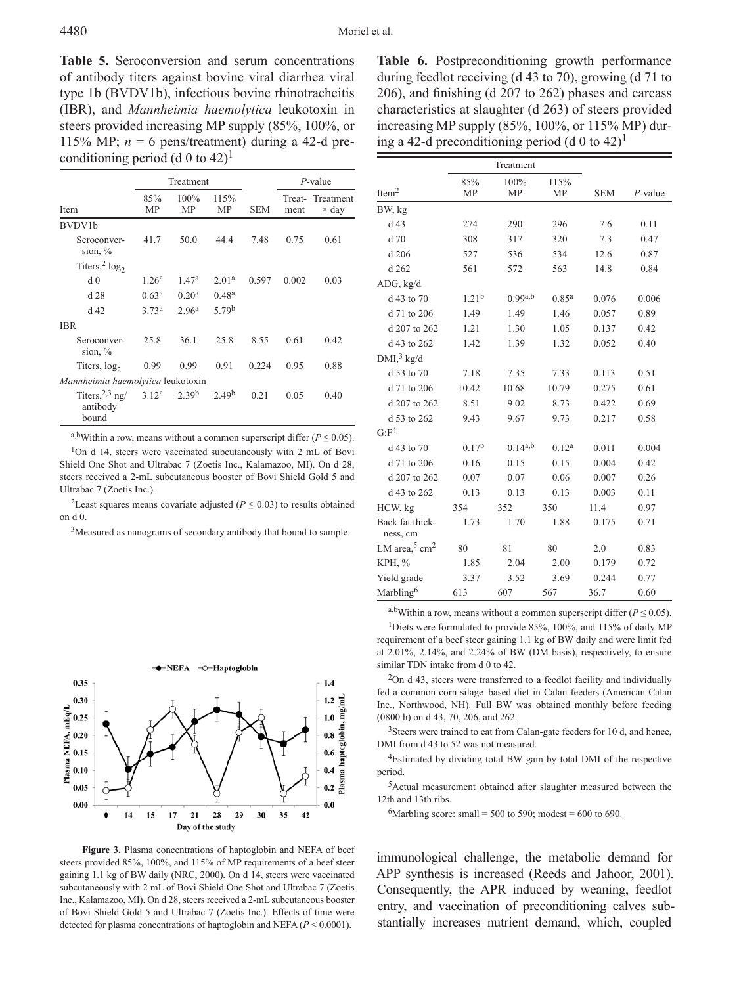**Table 5.** Seroconversion and serum concentrations of antibody titers against bovine viral diarrhea viral type 1b (BVDV1b), infectious bovine rhinotracheitis (IBR), and *Mannheimia haemolytica* leukotoxin in steers provided increasing MP supply (85%, 100%, or 115% MP;  $n = 6$  pens/treatment) during a 42-d preconditioning period (d 0 to  $42$ )<sup>1</sup>

|                                        |                   | Treatment         |                   |            |       | $P$ -value                      |  |
|----------------------------------------|-------------------|-------------------|-------------------|------------|-------|---------------------------------|--|
| Item                                   | 85%<br>MP         | 100%<br>MP        | 115%<br>MP        | <b>SEM</b> | ment  | Treat-Treatment<br>$\times$ day |  |
| BVDV1b                                 |                   |                   |                   |            |       |                                 |  |
| Seroconver-<br>sion, $\%$              | 41.7              | 50.0              | 44.4              | 7.48       | 0.75  | 0.61                            |  |
| Titers, <sup>2</sup> $log_2$           |                   |                   |                   |            |       |                                 |  |
| d <sub>0</sub>                         | 1.26 <sup>a</sup> | 1.47 <sup>a</sup> | 2.01 <sup>a</sup> | 0.597      | 0.002 | 0.03                            |  |
| d28                                    | 0.63 <sup>a</sup> | 0.20 <sup>a</sup> | 0.48 <sup>a</sup> |            |       |                                 |  |
| d <sub>42</sub>                        | 3.73 <sup>a</sup> | 2.96 <sup>a</sup> | 5.79 <sup>b</sup> |            |       |                                 |  |
| <b>IBR</b>                             |                   |                   |                   |            |       |                                 |  |
| Seroconver-<br>sion, $\%$              | 25.8              | 36.1              | 25.8              | 8.55       | 0.61  | 0.42                            |  |
| Titers, $log_2$                        | 0.99              | 0.99              | 0.91              | 0.224      | 0.95  | 0.88                            |  |
| Mannheimia haemolytica leukotoxin      |                   |                   |                   |            |       |                                 |  |
| Titers, $2,3$ ng/<br>antibody<br>bound | 3.12 <sup>a</sup> | 2.39 <sup>b</sup> | 2.49 <sup>b</sup> | 0.21       | 0.05  | 0.40                            |  |

a,bWithin a row, means without a common superscript differ ( $P \le 0.05$ ).

1On d 14, steers were vaccinated subcutaneously with 2 mL of Bovi Shield One Shot and Ultrabac 7 (Zoetis Inc., Kalamazoo, MI). On d 28, steers received a 2-mL subcutaneous booster of Bovi Shield Gold 5 and Ultrabac 7 (Zoetis Inc.).

<sup>2</sup>Least squares means covariate adjusted ( $P \le 0.03$ ) to results obtained on d 0.

<sup>3</sup>Measured as nanograms of secondary antibody that bound to sample.



**Figure 3.** Plasma concentrations of haptoglobin and NEFA of beef steers provided 85%, 100%, and 115% of MP requirements of a beef steer gaining 1.1 kg of BW daily (NRC, 2000). On d 14, steers were vaccinated subcutaneously with 2 mL of Bovi Shield One Shot and Ultrabac 7 (Zoetis Inc., Kalamazoo, MI). On d 28, steers received a 2-mL subcutaneous booster of Bovi Shield Gold 5 and Ultrabac 7 (Zoetis Inc.). Effects of time were detected for plasma concentrations of haptoglobin and NEFA (*P* < 0.0001).

**Table 6.** Postpreconditioning growth performance during feedlot receiving (d 43 to 70), growing (d 71 to 206), and finishing (d 207 to 262) phases and carcass characteristics at slaughter (d 263) of steers provided increasing MP supply (85%, 100%, or 115% MP) during a 42-d preconditioning period (d 0 to 42)<sup>1</sup>

|                                    |                   | Treatment    |                   |            |            |
|------------------------------------|-------------------|--------------|-------------------|------------|------------|
|                                    | 85%               | 100%         | 115%              |            |            |
| Item <sup>2</sup>                  | MP                | MP           | <b>MP</b>         | <b>SEM</b> | $P$ -value |
| BW, kg                             |                   |              |                   |            |            |
| d <sub>43</sub>                    | 274               | 290          | 296               | 7.6        | 0.11       |
| $d$ 70                             | 308               | 317          | 320               | 7.3        | 0.47       |
| d 206                              | 527               | 536          | 534               | 12.6       | 0.87       |
| d 262                              | 561               | 572          | 563               | 14.8       | 0.84       |
| ADG, kg/d                          |                   |              |                   |            |            |
| d 43 to 70                         | 1.21 <sup>b</sup> | $0.99^{a,b}$ | 0.85 <sup>a</sup> | 0.076      | 0.006      |
| d 71 to 206                        | 1.49              | 1.49         | 1.46              | 0.057      | 0.89       |
| d 207 to 262                       | 1.21              | 1.30         | 1.05              | 0.137      | 0.42       |
| d 43 to 262                        | 1.42              | 1.39         | 1.32              | 0.052      | 0.40       |
| DMI <sub>3</sub> <sup>3</sup> kg/d |                   |              |                   |            |            |
| d 53 to 70                         | 7.18              | 7.35         | 7.33              | 0.113      | 0.51       |
| d 71 to 206                        | 10.42             | 10.68        | 10.79             | 0.275      | 0.61       |
| d 207 to 262                       | 8.51              | 9.02         | 8.73              | 0.422      | 0.69       |
| d 53 to 262                        | 9.43              | 9.67         | 9.73              | 0.217      | 0.58       |
| G: F <sup>4</sup>                  |                   |              |                   |            |            |
| d 43 to 70                         | 0.17 <sup>b</sup> | $0.14^{a,b}$ | 0.12 <sup>a</sup> | 0.011      | 0.004      |
| d 71 to 206                        | 0.16              | 0.15         | 0.15              | 0.004      | 0.42       |
| d 207 to 262                       | 0.07              | 0.07         | 0.06              | 0.007      | 0.26       |
| d 43 to 262                        | 0.13              | 0.13         | 0.13              | 0.003      | 0.11       |
| HCW, kg                            | 354               | 352          | 350               | 11.4       | 0.97       |
| Back fat thick-<br>ness, cm        | 1.73              | 1.70         | 1.88              | 0.175      | 0.71       |
| LM area, $5 \text{ cm}^2$          | 80                | 81           | 80                | 2.0        | 0.83       |
| <b>KPH, %</b>                      | 1.85              | 2.04         | 2.00              | 0.179      | 0.72       |
| Yield grade                        | 3.37              | 3.52         | 3.69              | 0.244      | 0.77       |
| Marbling <sup>6</sup>              | 613               | 607          | 567               | 36.7       | 0.60       |

a,bWithin a row, means without a common superscript differ ( $P \le 0.05$ ).

<sup>1</sup>Diets were formulated to provide 85%, 100%, and 115% of daily MP requirement of a beef steer gaining 1.1 kg of BW daily and were limit fed at 2.01%, 2.14%, and 2.24% of BW (DM basis), respectively, to ensure similar TDN intake from d 0 to 42.

<sup>2</sup>On d 43, steers were transferred to a feedlot facility and individually fed a common corn silage–based diet in Calan feeders (American Calan Inc., Northwood, NH). Full BW was obtained monthly before feeding (0800 h) on d 43, 70, 206, and 262.

<sup>3</sup>Steers were trained to eat from Calan-gate feeders for 10 d, and hence, DMI from d 43 to 52 was not measured.

4Estimated by dividing total BW gain by total DMI of the respective period.

5Actual measurement obtained after slaughter measured between the 12th and 13th ribs.

<sup>6</sup>Marbling score: small = 500 to 590; modest = 600 to 690.

immunological challenge, the metabolic demand for APP synthesis is increased (Reeds and Jahoor, 2001). Consequently, the APR induced by weaning, feedlot entry, and vaccination of preconditioning calves substantially increases nutrient demand, which, coupled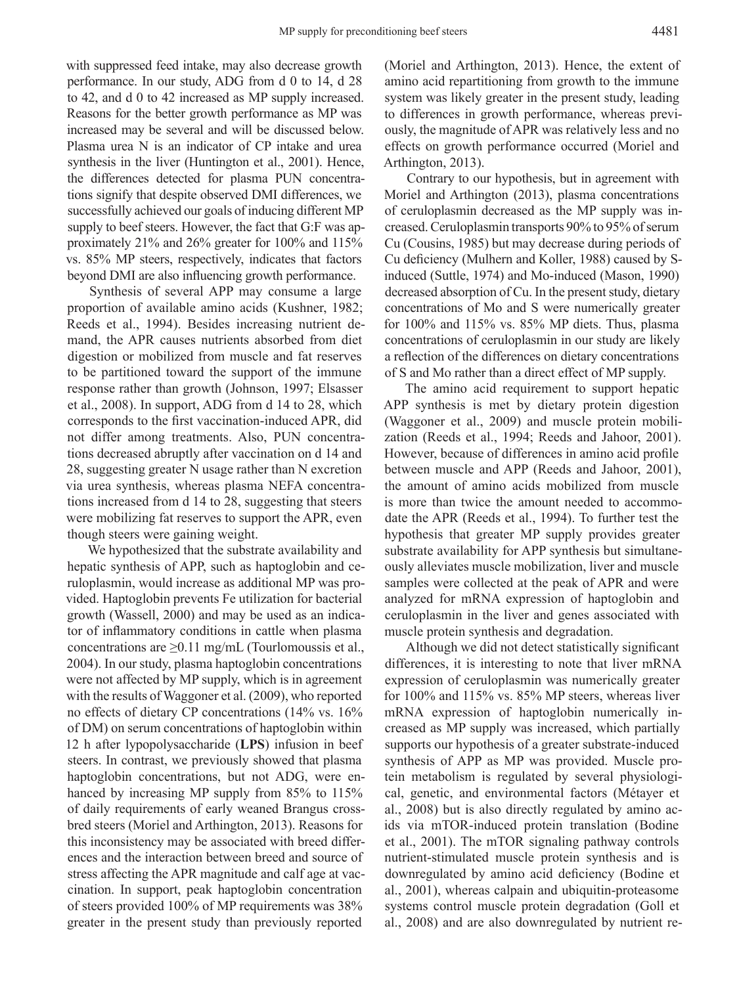with suppressed feed intake, may also decrease growth performance. In our study, ADG from d 0 to 14, d 28 to 42, and d 0 to 42 increased as MP supply increased. Reasons for the better growth performance as MP was increased may be several and will be discussed below. Plasma urea N is an indicator of CP intake and urea synthesis in the liver (Huntington et al., 2001). Hence, the differences detected for plasma PUN concentrations signify that despite observed DMI differences, we successfully achieved our goals of inducing different MP supply to beef steers. However, the fact that G:F was approximately 21% and 26% greater for 100% and 115% vs. 85% MP steers, respectively, indicates that factors beyond DMI are also influencing growth performance.

Synthesis of several APP may consume a large proportion of available amino acids (Kushner, 1982; Reeds et al., 1994). Besides increasing nutrient demand, the APR causes nutrients absorbed from diet digestion or mobilized from muscle and fat reserves to be partitioned toward the support of the immune response rather than growth (Johnson, 1997; Elsasser et al., 2008). In support, ADG from d 14 to 28, which corresponds to the first vaccination-induced APR, did not differ among treatments. Also, PUN concentrations decreased abruptly after vaccination on d 14 and 28, suggesting greater N usage rather than N excretion via urea synthesis, whereas plasma NEFA concentrations increased from d 14 to 28, suggesting that steers were mobilizing fat reserves to support the APR, even though steers were gaining weight.

We hypothesized that the substrate availability and hepatic synthesis of APP, such as haptoglobin and ceruloplasmin, would increase as additional MP was provided. Haptoglobin prevents Fe utilization for bacterial growth (Wassell, 2000) and may be used as an indicator of inflammatory conditions in cattle when plasma concentrations are  $\geq 0.11$  mg/mL (Tourlomoussis et al., 2004). In our study, plasma haptoglobin concentrations were not affected by MP supply, which is in agreement with the results of Waggoner et al. (2009), who reported no effects of dietary CP concentrations (14% vs. 16% of DM) on serum concentrations of haptoglobin within 12 h after lypopolysaccharide (**LPS**) infusion in beef steers. In contrast, we previously showed that plasma haptoglobin concentrations, but not ADG, were enhanced by increasing MP supply from 85% to 115% of daily requirements of early weaned Brangus crossbred steers (Moriel and Arthington, 2013). Reasons for this inconsistency may be associated with breed differences and the interaction between breed and source of stress affecting the APR magnitude and calf age at vaccination. In support, peak haptoglobin concentration of steers provided 100% of MP requirements was 38% greater in the present study than previously reported

(Moriel and Arthington, 2013). Hence, the extent of amino acid repartitioning from growth to the immune system was likely greater in the present study, leading to differences in growth performance, whereas previously, the magnitude of APR was relatively less and no effects on growth performance occurred (Moriel and Arthington, 2013).

Contrary to our hypothesis, but in agreement with Moriel and Arthington (2013), plasma concentrations of ceruloplasmin decreased as the MP supply was increased. Ceruloplasmin transports 90% to 95% of serum Cu (Cousins, 1985) but may decrease during periods of Cu deficiency (Mulhern and Koller, 1988) caused by Sinduced (Suttle, 1974) and Mo-induced (Mason, 1990) decreased absorption of Cu. In the present study, dietary concentrations of Mo and S were numerically greater for 100% and 115% vs. 85% MP diets. Thus, plasma concentrations of ceruloplasmin in our study are likely a reflection of the differences on dietary concentrations of S and Mo rather than a direct effect of MP supply.

The amino acid requirement to support hepatic APP synthesis is met by dietary protein digestion (Waggoner et al., 2009) and muscle protein mobilization (Reeds et al., 1994; Reeds and Jahoor, 2001). However, because of differences in amino acid profile between muscle and APP (Reeds and Jahoor, 2001), the amount of amino acids mobilized from muscle is more than twice the amount needed to accommodate the APR (Reeds et al., 1994). To further test the hypothesis that greater MP supply provides greater substrate availability for APP synthesis but simultaneously alleviates muscle mobilization, liver and muscle samples were collected at the peak of APR and were analyzed for mRNA expression of haptoglobin and ceruloplasmin in the liver and genes associated with muscle protein synthesis and degradation.

Although we did not detect statistically significant differences, it is interesting to note that liver mRNA expression of ceruloplasmin was numerically greater for 100% and 115% vs. 85% MP steers, whereas liver mRNA expression of haptoglobin numerically increased as MP supply was increased, which partially supports our hypothesis of a greater substrate-induced synthesis of APP as MP was provided. Muscle protein metabolism is regulated by several physiological, genetic, and environmental factors (Métayer et al., 2008) but is also directly regulated by amino acids via mTOR-induced protein translation (Bodine et al., 2001). The mTOR signaling pathway controls nutrient-stimulated muscle protein synthesis and is downregulated by amino acid deficiency (Bodine et al., 2001), whereas calpain and ubiquitin-proteasome systems control muscle protein degradation (Goll et al., 2008) and are also downregulated by nutrient re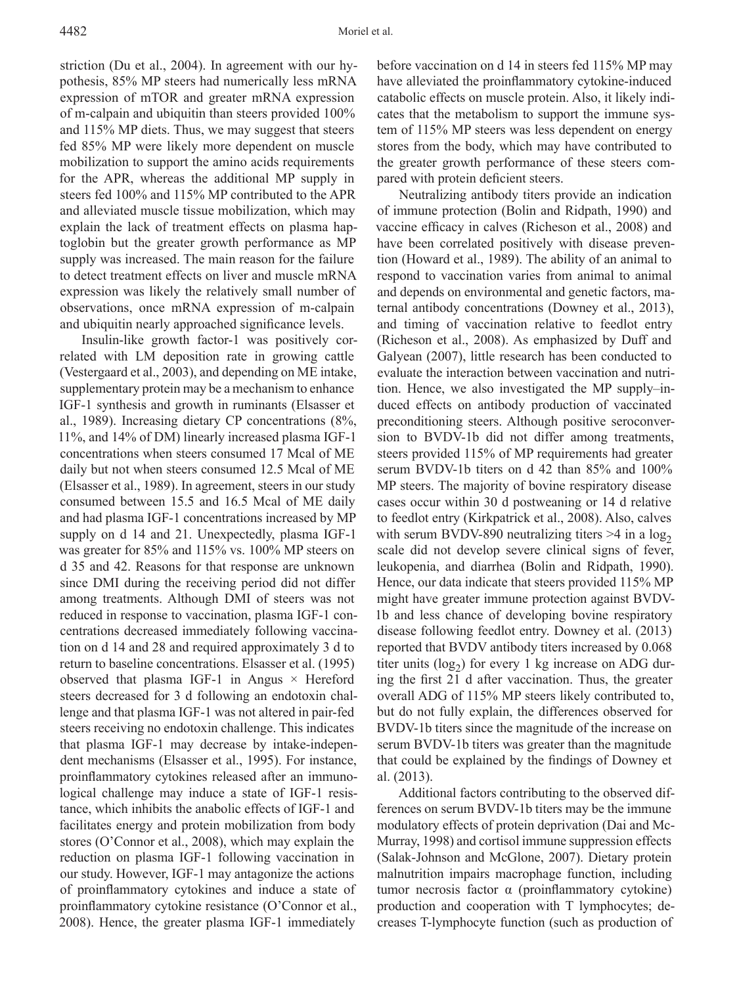striction (Du et al., 2004). In agreement with our hypothesis, 85% MP steers had numerically less mRNA expression of mTOR and greater mRNA expression of m-calpain and ubiquitin than steers provided 100% and 115% MP diets. Thus, we may suggest that steers fed 85% MP were likely more dependent on muscle mobilization to support the amino acids requirements for the APR, whereas the additional MP supply in steers fed 100% and 115% MP contributed to the APR and alleviated muscle tissue mobilization, which may explain the lack of treatment effects on plasma haptoglobin but the greater growth performance as MP supply was increased. The main reason for the failure to detect treatment effects on liver and muscle mRNA expression was likely the relatively small number of observations, once mRNA expression of m-calpain and ubiquitin nearly approached significance levels.

Insulin-like growth factor-1 was positively correlated with LM deposition rate in growing cattle (Vestergaard et al., 2003), and depending on ME intake, supplementary protein may be a mechanism to enhance IGF-1 synthesis and growth in ruminants (Elsasser et al., 1989). Increasing dietary CP concentrations (8%, 11%, and 14% of DM) linearly increased plasma IGF-1 concentrations when steers consumed 17 Mcal of ME daily but not when steers consumed 12.5 Mcal of ME (Elsasser et al., 1989). In agreement, steers in our study consumed between 15.5 and 16.5 Mcal of ME daily and had plasma IGF-1 concentrations increased by MP supply on d 14 and 21. Unexpectedly, plasma IGF-1 was greater for 85% and 115% vs. 100% MP steers on d 35 and 42. Reasons for that response are unknown since DMI during the receiving period did not differ among treatments. Although DMI of steers was not reduced in response to vaccination, plasma IGF-1 concentrations decreased immediately following vaccination on d 14 and 28 and required approximately 3 d to return to baseline concentrations. Elsasser et al. (1995) observed that plasma IGF-1 in Angus  $\times$  Hereford steers decreased for 3 d following an endotoxin challenge and that plasma IGF-1 was not altered in pair-fed steers receiving no endotoxin challenge. This indicates that plasma IGF-1 may decrease by intake-independent mechanisms (Elsasser et al., 1995). For instance, proinflammatory cytokines released after an immunological challenge may induce a state of IGF-1 resistance, which inhibits the anabolic effects of IGF-1 and facilitates energy and protein mobilization from body stores (O'Connor et al., 2008), which may explain the reduction on plasma IGF-1 following vaccination in our study. However, IGF-1 may antagonize the actions of proinflammatory cytokines and induce a state of proinflammatory cytokine resistance (O'Connor et al., 2008). Hence, the greater plasma IGF-1 immediately

before vaccination on d 14 in steers fed 115% MP may have alleviated the proinflammatory cytokine-induced catabolic effects on muscle protein. Also, it likely indicates that the metabolism to support the immune system of 115% MP steers was less dependent on energy stores from the body, which may have contributed to the greater growth performance of these steers compared with protein deficient steers.

Neutralizing antibody titers provide an indication of immune protection (Bolin and Ridpath, 1990) and vaccine efficacy in calves (Richeson et al., 2008) and have been correlated positively with disease prevention (Howard et al., 1989). The ability of an animal to respond to vaccination varies from animal to animal and depends on environmental and genetic factors, maternal antibody concentrations (Downey et al., 2013), and timing of vaccination relative to feedlot entry (Richeson et al., 2008). As emphasized by Duff and Galyean (2007), little research has been conducted to evaluate the interaction between vaccination and nutrition. Hence, we also investigated the MP supply–induced effects on antibody production of vaccinated preconditioning steers. Although positive seroconversion to BVDV-1b did not differ among treatments, steers provided 115% of MP requirements had greater serum BVDV-1b titers on d 42 than 85% and 100% MP steers. The majority of bovine respiratory disease cases occur within 30 d postweaning or 14 d relative to feedlot entry (Kirkpatrick et al., 2008). Also, calves with serum BVDV-890 neutralizing titers  $>4$  in a log<sub>2</sub> scale did not develop severe clinical signs of fever, leukopenia, and diarrhea (Bolin and Ridpath, 1990). Hence, our data indicate that steers provided 115% MP might have greater immune protection against BVDV-1b and less chance of developing bovine respiratory disease following feedlot entry. Downey et al. (2013) reported that BVDV antibody titers increased by 0.068 titer units ( $log_2$ ) for every 1 kg increase on ADG during the first 21 d after vaccination. Thus, the greater overall ADG of 115% MP steers likely contributed to, but do not fully explain, the differences observed for BVDV-1b titers since the magnitude of the increase on serum BVDV-1b titers was greater than the magnitude that could be explained by the findings of Downey et al. (2013).

Additional factors contributing to the observed differences on serum BVDV-1b titers may be the immune modulatory effects of protein deprivation (Dai and Mc-Murray, 1998) and cortisol immune suppression effects (Salak-Johnson and McGlone, 2007). Dietary protein malnutrition impairs macrophage function, including tumor necrosis factor α (proinflammatory cytokine) production and cooperation with T lymphocytes; decreases T-lymphocyte function (such as production of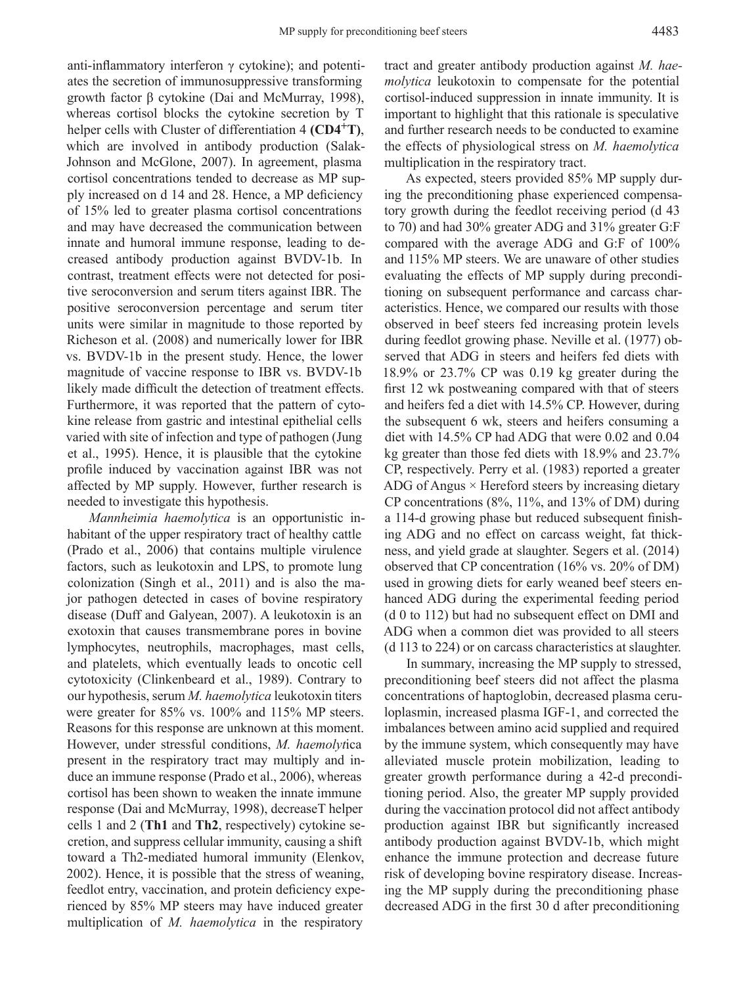anti-inflammatory interferon γ cytokine); and potentiates the secretion of immunosuppressive transforming growth factor β cytokine (Dai and McMurray, 1998), whereas cortisol blocks the cytokine secretion by T helper cells with Cluster of differentiation 4 **(CD4<sup>+</sup>T)**, which are involved in antibody production (Salak-Johnson and McGlone, 2007). In agreement, plasma cortisol concentrations tended to decrease as MP supply increased on d 14 and 28. Hence, a MP deficiency of 15% led to greater plasma cortisol concentrations and may have decreased the communication between innate and humoral immune response, leading to decreased antibody production against BVDV-1b. In contrast, treatment effects were not detected for positive seroconversion and serum titers against IBR. The positive seroconversion percentage and serum titer units were similar in magnitude to those reported by Richeson et al. (2008) and numerically lower for IBR vs. BVDV-1b in the present study. Hence, the lower magnitude of vaccine response to IBR vs. BVDV-1b likely made difficult the detection of treatment effects. Furthermore, it was reported that the pattern of cytokine release from gastric and intestinal epithelial cells varied with site of infection and type of pathogen (Jung et al., 1995). Hence, it is plausible that the cytokine profile induced by vaccination against IBR was not affected by MP supply. However, further research is needed to investigate this hypothesis.

*Mannheimia haemolytica* is an opportunistic inhabitant of the upper respiratory tract of healthy cattle (Prado et al., 2006) that contains multiple virulence factors, such as leukotoxin and LPS, to promote lung colonization (Singh et al., 2011) and is also the major pathogen detected in cases of bovine respiratory disease (Duff and Galyean, 2007). A leukotoxin is an exotoxin that causes transmembrane pores in bovine lymphocytes, neutrophils, macrophages, mast cells, and platelets, which eventually leads to oncotic cell cytotoxicity (Clinkenbeard et al., 1989). Contrary to our hypothesis, serum *M. haemolytica* leukotoxin titers were greater for 85% vs. 100% and 115% MP steers. Reasons for this response are unknown at this moment. However, under stressful conditions, *M. haemolyt*ica present in the respiratory tract may multiply and induce an immune response (Prado et al., 2006), whereas cortisol has been shown to weaken the innate immune response (Dai and McMurray, 1998), decreaseT helper cells 1 and 2 (**Th1** and **Th2**, respectively) cytokine secretion, and suppress cellular immunity, causing a shift toward a Th2-mediated humoral immunity (Elenkov, 2002). Hence, it is possible that the stress of weaning, feedlot entry, vaccination, and protein deficiency experienced by 85% MP steers may have induced greater multiplication of *M. haemolytica* in the respiratory

tract and greater antibody production against *M. haemolytica* leukotoxin to compensate for the potential cortisol-induced suppression in innate immunity. It is important to highlight that this rationale is speculative and further research needs to be conducted to examine the effects of physiological stress on *M. haemolytica* multiplication in the respiratory tract.

As expected, steers provided 85% MP supply during the preconditioning phase experienced compensatory growth during the feedlot receiving period (d 43 to 70) and had 30% greater ADG and 31% greater G:F compared with the average ADG and G:F of 100% and 115% MP steers. We are unaware of other studies evaluating the effects of MP supply during preconditioning on subsequent performance and carcass characteristics. Hence, we compared our results with those observed in beef steers fed increasing protein levels during feedlot growing phase. Neville et al. (1977) observed that ADG in steers and heifers fed diets with 18.9% or 23.7% CP was 0.19 kg greater during the first 12 wk postweaning compared with that of steers and heifers fed a diet with 14.5% CP. However, during the subsequent 6 wk, steers and heifers consuming a diet with 14.5% CP had ADG that were 0.02 and 0.04 kg greater than those fed diets with 18.9% and 23.7% CP, respectively. Perry et al. (1983) reported a greater ADG of Angus  $\times$  Hereford steers by increasing dietary CP concentrations (8%, 11%, and 13% of DM) during a 114-d growing phase but reduced subsequent finishing ADG and no effect on carcass weight, fat thickness, and yield grade at slaughter. Segers et al. (2014) observed that CP concentration (16% vs. 20% of DM) used in growing diets for early weaned beef steers enhanced ADG during the experimental feeding period (d 0 to 112) but had no subsequent effect on DMI and ADG when a common diet was provided to all steers (d 113 to 224) or on carcass characteristics at slaughter.

In summary, increasing the MP supply to stressed, preconditioning beef steers did not affect the plasma concentrations of haptoglobin, decreased plasma ceruloplasmin, increased plasma IGF-1, and corrected the imbalances between amino acid supplied and required by the immune system, which consequently may have alleviated muscle protein mobilization, leading to greater growth performance during a 42-d preconditioning period. Also, the greater MP supply provided during the vaccination protocol did not affect antibody production against IBR but significantly increased antibody production against BVDV-1b, which might enhance the immune protection and decrease future risk of developing bovine respiratory disease. Increasing the MP supply during the preconditioning phase decreased ADG in the first 30 d after preconditioning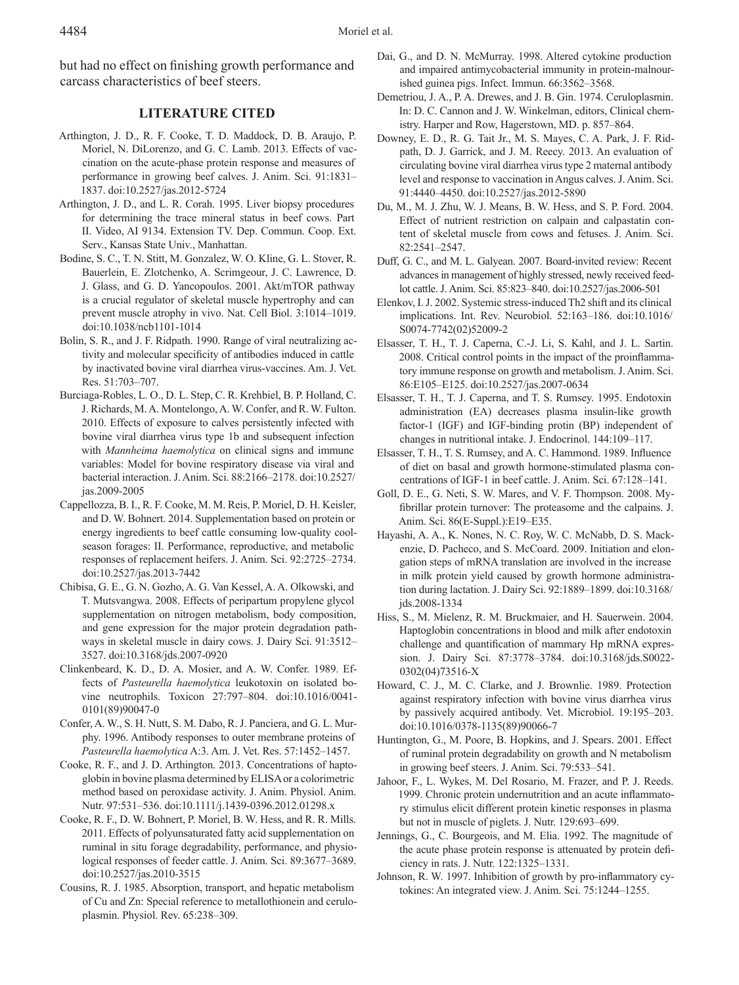but had no effect on finishing growth performance and carcass characteristics of beef steers.

### **LITERATURE CITED**

- Arthington, J. D., R. F. Cooke, T. D. Maddock, D. B. Araujo, P. Moriel, N. DiLorenzo, and G. C. Lamb. 2013. Effects of vaccination on the acute-phase protein response and measures of performance in growing beef calves. J. Anim. Sci. 91:1831– 1837. doi:10.2527/jas.2012-5724
- Arthington, J. D., and L. R. Corah. 1995. Liver biopsy procedures for determining the trace mineral status in beef cows. Part II. Video, AI 9134. Extension TV. Dep. Commun. Coop. Ext. Serv., Kansas State Univ., Manhattan.
- Bodine, S. C., T. N. Stitt, M. Gonzalez, W. O. Kline, G. L. Stover, R. Bauerlein, E. Zlotchenko, A. Scrimgeour, J. C. Lawrence, D. J. Glass, and G. D. Yancopoulos. 2001. Akt/mTOR pathway is a crucial regulator of skeletal muscle hypertrophy and can prevent muscle atrophy in vivo. Nat. Cell Biol. 3:1014–1019. doi:10.1038/ncb1101-1014
- Bolin, S. R., and J. F. Ridpath. 1990. Range of viral neutralizing activity and molecular specificity of antibodies induced in cattle by inactivated bovine viral diarrhea virus-vaccines. Am. J. Vet. Res. 51:703–707.
- Burciaga-Robles, L. O., D. L. Step, C. R. Krehbiel, B. P. Holland, C. J. Richards, M. A. Montelongo, A. W. Confer, and R. W. Fulton. 2010. Effects of exposure to calves persistently infected with bovine viral diarrhea virus type 1b and subsequent infection with *Mannheima haemolytica* on clinical signs and immune variables: Model for bovine respiratory disease via viral and bacterial interaction. J. Anim. Sci. 88:2166–2178. doi:10.2527/ jas.2009-2005
- Cappellozza, B. I., R. F. Cooke, M. M. Reis, P. Moriel, D. H. Keisler, and D. W. Bohnert. 2014. Supplementation based on protein or energy ingredients to beef cattle consuming low-quality coolseason forages: II. Performance, reproductive, and metabolic responses of replacement heifers. J. Anim. Sci. 92:2725–2734. doi:10.2527/jas.2013-7442
- Chibisa, G. E., G. N. Gozho, A. G. Van Kessel, A. A. Olkowski, and T. Mutsvangwa. 2008. Effects of peripartum propylene glycol supplementation on nitrogen metabolism, body composition, and gene expression for the major protein degradation pathways in skeletal muscle in dairy cows. J. Dairy Sci. 91:3512– 3527. doi:10.3168/jds.2007-0920
- Clinkenbeard, K. D., D. A. Mosier, and A. W. Confer. 1989. Effects of *Pasteurella haemolytica* leukotoxin on isolated bovine neutrophils. Toxicon 27:797–804. doi:10.1016/0041- 0101(89)90047-0
- Confer, A. W., S. H. Nutt, S. M. Dabo, R. J. Panciera, and G. L. Murphy. 1996. Antibody responses to outer membrane proteins of *Pasteurella haemolytica* A:3. Am. J. Vet. Res. 57:1452–1457.
- Cooke, R. F., and J. D. Arthington. 2013. Concentrations of haptoglobin in bovine plasma determined by ELISA or a colorimetric method based on peroxidase activity. J. Anim. Physiol. Anim. Nutr. 97:531–536. doi:10.1111/j.1439-0396.2012.01298.x
- Cooke, R. F., D. W. Bohnert, P. Moriel, B. W. Hess, and R. R. Mills. 2011. Effects of polyunsaturated fatty acid supplementation on ruminal in situ forage degradability, performance, and physiological responses of feeder cattle. J. Anim. Sci. 89:3677–3689. doi:10.2527/jas.2010-3515
- Cousins, R. J. 1985. Absorption, transport, and hepatic metabolism of Cu and Zn: Special reference to metallothionein and ceruloplasmin. Physiol. Rev. 65:238–309.
- Dai, G., and D. N. McMurray. 1998. Altered cytokine production and impaired antimycobacterial immunity in protein-malnourished guinea pigs. Infect. Immun. 66:3562–3568.
- Demetriou, J. A., P. A. Drewes, and J. B. Gin. 1974. Ceruloplasmin. In: D. C. Cannon and J. W. Winkelman, editors, Clinical chemistry. Harper and Row, Hagerstown, MD. p. 857–864.
- Downey, E. D., R. G. Tait Jr., M. S. Mayes, C. A. Park, J. F. Ridpath, D. J. Garrick, and J. M. Reecy. 2013. An evaluation of circulating bovine viral diarrhea virus type 2 maternal antibody level and response to vaccination in Angus calves. J. Anim. Sci. 91:4440–4450. doi:10.2527/jas.2012-5890
- Du, M., M. J. Zhu, W. J. Means, B. W. Hess, and S. P. Ford. 2004. Effect of nutrient restriction on calpain and calpastatin content of skeletal muscle from cows and fetuses. J. Anim. Sci. 82:2541–2547.
- Duff, G. C., and M. L. Galyean. 2007. Board-invited review: Recent advances in management of highly stressed, newly received feedlot cattle. J. Anim. Sci. 85:823–840. doi:10.2527/jas.2006-501
- Elenkov, I. J. 2002. Systemic stress-induced Th2 shift and its clinical implications. Int. Rev. Neurobiol. 52:163–186. doi:10.1016/ S0074-7742(02)52009-2
- Elsasser, T. H., T. J. Caperna, C.-J. Li, S. Kahl, and J. L. Sartin. 2008. Critical control points in the impact of the proinflammatory immune response on growth and metabolism. J. Anim. Sci. 86:E105–E125. doi:10.2527/jas.2007-0634
- Elsasser, T. H., T. J. Caperna, and T. S. Rumsey. 1995. Endotoxin administration (EA) decreases plasma insulin-like growth factor-1 (IGF) and IGF-binding protin (BP) independent of changes in nutritional intake. J. Endocrinol. 144:109–117.
- Elsasser, T. H., T. S. Rumsey, and A. C. Hammond. 1989. Influence of diet on basal and growth hormone-stimulated plasma concentrations of IGF-1 in beef cattle. J. Anim. Sci. 67:128–141.
- Goll, D. E., G. Neti, S. W. Mares, and V. F. Thompson. 2008. Myfibrillar protein turnover: The proteasome and the calpains. J. Anim. Sci. 86(E-Suppl.):E19–E35.
- Hayashi, A. A., K. Nones, N. C. Roy, W. C. McNabb, D. S. Mackenzie, D. Pacheco, and S. McCoard. 2009. Initiation and elongation steps of mRNA translation are involved in the increase in milk protein yield caused by growth hormone administration during lactation. J. Dairy Sci. 92:1889–1899. doi:10.3168/ jds.2008-1334
- Hiss, S., M. Mielenz, R. M. Bruckmaier, and H. Sauerwein. 2004. Haptoglobin concentrations in blood and milk after endotoxin challenge and quantification of mammary Hp mRNA expression. J. Dairy Sci. 87:3778–3784. doi:10.3168/jds.S0022- 0302(04)73516-X
- Howard, C. J., M. C. Clarke, and J. Brownlie. 1989. Protection against respiratory infection with bovine virus diarrhea virus by passively acquired antibody. Vet. Microbiol. 19:195–203. doi:10.1016/0378-1135(89)90066-7
- Huntington, G., M. Poore, B. Hopkins, and J. Spears. 2001. Effect of ruminal protein degradability on growth and N metabolism in growing beef steers. J. Anim. Sci. 79:533–541.
- Jahoor, F., L. Wykes, M. Del Rosario, M. Frazer, and P. J. Reeds. 1999. Chronic protein undernutrition and an acute inflammatory stimulus elicit different protein kinetic responses in plasma but not in muscle of piglets. J. Nutr. 129:693–699.
- Jennings, G., C. Bourgeois, and M. Elia. 1992. The magnitude of the acute phase protein response is attenuated by protein deficiency in rats. J. Nutr. 122:1325–1331.
- Johnson, R. W. 1997. Inhibition of growth by pro-inflammatory cytokines: An integrated view. J. Anim. Sci. 75:1244–1255.